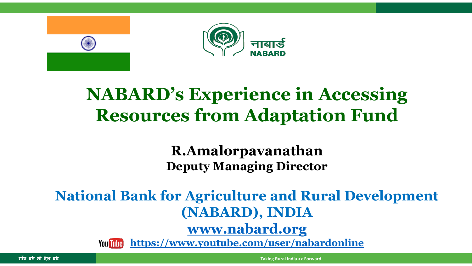

#### **NABARD's Experience in Accessing Resources from Adaptation Fund**

#### **R.Amalorpavanathan Deputy Managing Director**

#### **National Bank for Agriculture and Rural Development (NABARD), INDIA [www.nabard.org](http://www.nabard.org/)**

**<https://www.youtube.com/user/nabardonline>You Tube**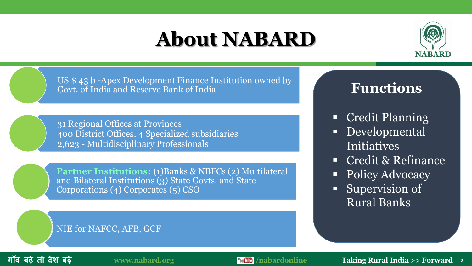### **About NABARD**



US \$ 43 b -Apex Development Finance Institution owned by Govt. of India and Reserve Bank of India

31 Regional Offices at Provinces 400 District Offices, 4 Specialized subsidiaries 2,623 - Multidisciplinary Professionals

**Partner Institutions: (1)Banks & NBFCs (2) Multilateral** and Bilateral Institutions (3) State Govts. and State Corporations (4) Corporates (5) CSO

#### NIE for NAFCC, AFB, GCF

#### **Functions**

- Credit Planning
- Developmental Initiatives
- Credit & Refinance
- Policy Advocacy
- **Supervision of** Rural Banks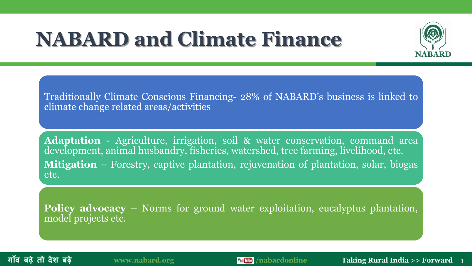### **NABARD and Climate Finance**



Traditionally Climate Conscious Financing- 28% of NABARD's business is linked to climate change related areas/activities

**Adaptation** - Agriculture, irrigation, soil & water conservation, command area development, animal husbandry, fisheries, watershed, tree farming, livelihood, etc. **Mitigation** – Forestry, captive plantation, rejuvenation of plantation, solar, biogas etc.

**Policy advocacy** – Norms for ground water exploitation, eucalyptus plantation, model projects etc.



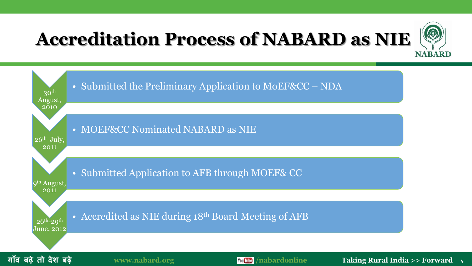### **Accreditation Process of NABARD as NIE**



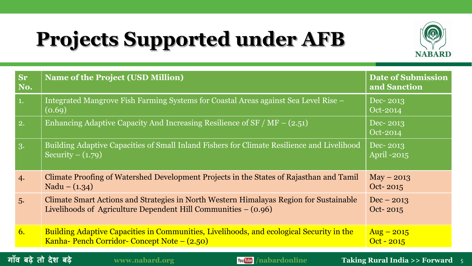# **Projects Supported under AFB**



| <b>Sr</b><br>No. | <b>Name of the Project (USD Million)</b>                                                                                                                 | <b>Date of Submission</b><br>and Sanction |
|------------------|----------------------------------------------------------------------------------------------------------------------------------------------------------|-------------------------------------------|
| 1.               | Integrated Mangrove Fish Farming Systems for Coastal Areas against Sea Level Rise –<br>(0.69)                                                            | Dec-2013<br>Oct-2014                      |
| $\boxed{2}$ .    | Enhancing Adaptive Capacity And Increasing Resilience of $SF / MF - (2.51)$                                                                              | Dec-2013<br>Oct-2014                      |
| $\vert 3.$       | Building Adaptive Capacities of Small Inland Fishers for Climate Resilience and Livelihood<br>Security $- (1.79)$                                        | Dec-2013<br>April -2015                   |
| 4.               | Climate Proofing of Watershed Development Projects in the States of Rajasthan and Tamil<br>Nadu – $(1.34)$                                               | $May - 2013$<br>Oct-2015                  |
| 5.               | Climate Smart Actions and Strategies in North Western Himalayas Region for Sustainable<br>Livelihoods of Agriculture Dependent Hill Communities – (0.96) | $Dec - 2013$<br>Oct-2015                  |
| 6.               | Building Adaptive Capacities in Communities, Livelihoods, and ecological Security in the<br>Kanha- Pench Corridor- Concept Note - (2.50)                 | $\text{Aug} - 2015$<br>$Oct - 2015$       |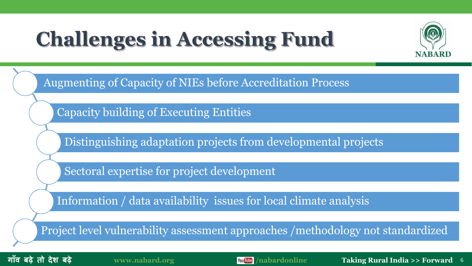## **Challenges in Accessing Fund**



Augmenting of Capacity of NIEs before Accreditation Process

Capacity building of Executing Entities

Distinguishing adaptation projects from developmental projects

Sectoral expertise for project development

Information / data availability issues for local climate analysis

Project level vulnerability assessment approaches /methodology not standardized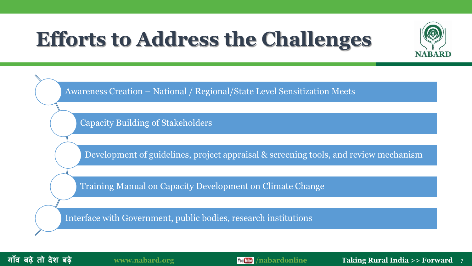## **Efforts to Address the Challenges**



Awareness Creation – National / Regional/State Level Sensitization Meets

Capacity Building of Stakeholders

Development of guidelines, project appraisal & screening tools, and review mechanism

Training Manual on Capacity Development on Climate Change

Interface with Government, public bodies, research institutions

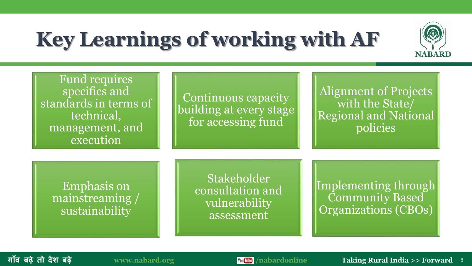# **Key Learnings of working with AF**



Fund requires specifics and standards in terms of technical, management, and execution

Continuous capacity building at every stage for accessing fund

Alignment of Projects with the State/ Regional and National policies

Emphasis on mainstreaming / sustainability

**Stakeholder** consultation and vulnerability assessment

Implementing through Community Based Organizations (CBOs)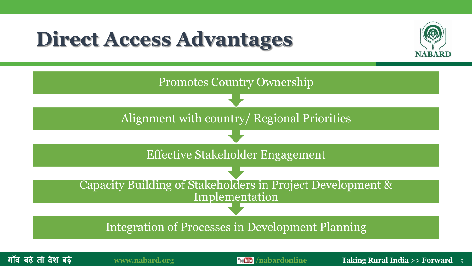### **Direct Access Advantages**